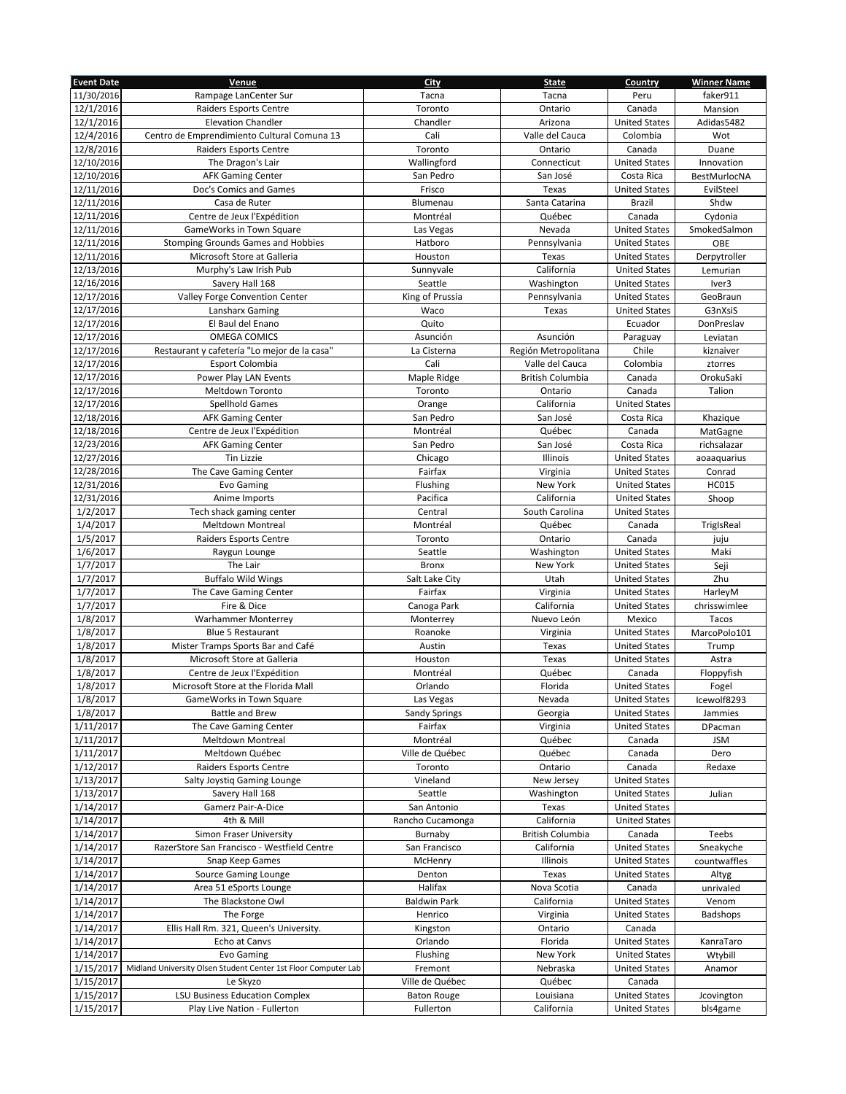| <b>Event Date</b> | Venue                                                          | City                 | <b>State</b>            | Country              | <b>Winner Name</b> |
|-------------------|----------------------------------------------------------------|----------------------|-------------------------|----------------------|--------------------|
| 11/30/2016        | Rampage LanCenter Sur                                          | Tacna                | Tacna                   | Peru                 | faker911           |
| 12/1/2016         | Raiders Esports Centre                                         | Toronto              | Ontario                 | Canada               | Mansion            |
| 12/1/2016         | <b>Elevation Chandler</b>                                      | Chandler             | Arizona                 | <b>United States</b> | Adidas5482         |
| 12/4/2016         | Centro de Emprendimiento Cultural Comuna 13                    | Cali                 | Valle del Cauca         | Colombia             | Wot                |
| 12/8/2016         | Raiders Esports Centre                                         | Toronto              | Ontario                 | Canada               | Duane              |
| 12/10/2016        | The Dragon's Lair                                              | Wallingford          | Connecticut             | <b>United States</b> | Innovation         |
| 12/10/2016        |                                                                | San Pedro            | San José                | Costa Rica           | BestMurlocNA       |
|                   | <b>AFK Gaming Center</b>                                       |                      |                         |                      |                    |
| 12/11/2016        | Doc's Comics and Games                                         | Frisco               | Texas                   | <b>United States</b> | EvilSteel          |
| 12/11/2016        | Casa de Ruter                                                  | Blumenau             | Santa Catarina          | Brazil               | Shdw               |
| 12/11/2016        | Centre de Jeux l'Expédition                                    | Montréal             | Québec                  | Canada               | Cydonia            |
| 12/11/2016        | GameWorks in Town Square                                       | Las Vegas            | Nevada                  | <b>United States</b> | SmokedSalmon       |
| 12/11/2016        | Stomping Grounds Games and Hobbies                             | Hatboro              | Pennsylvania            | <b>United States</b> | OBE                |
| 12/11/2016        | Microsoft Store at Galleria                                    | Houston              | Texas                   | <b>United States</b> | Derpytroller       |
| 12/13/2016        | Murphy's Law Irish Pub                                         | Sunnyvale            | California              | <b>United States</b> | Lemurian           |
| 12/16/2016        | Savery Hall 168                                                | Seattle              | Washington              | <b>United States</b> | Iver3              |
| 12/17/2016        | Valley Forge Convention Center                                 | King of Prussia      | Pennsylvania            | <b>United States</b> | GeoBraun           |
| 12/17/2016        | Lansharx Gaming                                                | Waco                 | Texas                   | <b>United States</b> | G3nXsiS            |
| 12/17/2016        | El Baul del Enano                                              | Quito                |                         | Ecuador              | DonPreslav         |
| 12/17/2016        | <b>OMEGA COMICS</b>                                            | Asunción             | Asunción                | Paraguay             | Leviatan           |
| 12/17/2016        | Restaurant y cafetería "Lo mejor de la casa"                   | La Cisterna          | Región Metropolitana    | Chile                | kiznaiver          |
| 12/17/2016        | Esport Colombia                                                | Cali                 | Valle del Cauca         | Colombia             | ztorres            |
| 12/17/2016        | Power Play LAN Events                                          | Maple Ridge          | <b>British Columbia</b> | Canada               | OrokuSaki          |
| 12/17/2016        | Meltdown Toronto                                               | Toronto              | Ontario                 | Canada               | Talion             |
| 12/17/2016        | <b>Spellhold Games</b>                                         | Orange               | California              | <b>United States</b> |                    |
| 12/18/2016        | <b>AFK Gaming Center</b>                                       | San Pedro            | San José                | Costa Rica           | Khazique           |
| 12/18/2016        | Centre de Jeux l'Expédition                                    | Montréal             | Québec                  | Canada               |                    |
| 12/23/2016        |                                                                | San Pedro            | San José                | Costa Rica           | MatGagne           |
|                   | <b>AFK Gaming Center</b>                                       |                      |                         |                      | richsalazar        |
| 12/27/2016        | <b>Tin Lizzie</b>                                              | Chicago              | Illinois                | <b>United States</b> | aoaaquarius        |
| 12/28/2016        | The Cave Gaming Center                                         | Fairfax              | Virginia                | <b>United States</b> | Conrad             |
| 12/31/2016        | Evo Gaming                                                     | Flushing             | New York                | <b>United States</b> | <b>HC015</b>       |
| 12/31/2016        | Anime Imports                                                  | Pacifica             | California              | <b>United States</b> | Shoop              |
| 1/2/2017          | Tech shack gaming center                                       | Central              | South Carolina          | <b>United States</b> |                    |
| 1/4/2017          | <b>Meltdown Montreal</b>                                       | Montréal             | Québec                  | Canada               | TrigIsReal         |
| 1/5/2017          | Raiders Esports Centre                                         | Toronto              | Ontario                 | Canada               | juju               |
| 1/6/2017          | Raygun Lounge                                                  | Seattle              | Washington              | <b>United States</b> | Maki               |
| 1/7/2017          | The Lair                                                       | Bronx                | New York                | <b>United States</b> | Seji               |
| 1/7/2017          | <b>Buffalo Wild Wings</b>                                      | Salt Lake City       | Utah                    | <b>United States</b> | Zhu                |
| 1/7/2017          | The Cave Gaming Center                                         | Fairfax              | Virginia                | <b>United States</b> | HarleyM            |
| 1/7/2017          | Fire & Dice                                                    | Canoga Park          | California              | <b>United States</b> | chrisswimlee       |
| 1/8/2017          | <b>Warhammer Monterrey</b>                                     | Monterrey            | Nuevo León              | Mexico               | Tacos              |
| 1/8/2017          | <b>Blue 5 Restaurant</b>                                       | Roanoke              | Virginia                | <b>United States</b> | MarcoPolo101       |
| 1/8/2017          | Mister Tramps Sports Bar and Café                              | Austin               | Texas                   | <b>United States</b> | Trump              |
| 1/8/2017          | Microsoft Store at Galleria                                    | Houston              | Texas                   | <b>United States</b> | Astra              |
| 1/8/2017          | Centre de Jeux l'Expédition                                    | Montréal             | Québec                  | Canada               | Floppyfish         |
| 1/8/2017          | Microsoft Store at the Florida Mall                            | Orlando              | Florida                 | <b>United States</b> | Fogel              |
| 1/8/2017          | GameWorks in Town Square                                       | Las Vegas            | Nevada                  | <b>United States</b> | Icewolf8293        |
| 1/8/2017          | <b>Battle and Brew</b>                                         | <b>Sandy Springs</b> | Georgia                 | <b>United States</b> | Jammies            |
| 1/11/2017         | The Cave Gaming Center                                         | Fairfax              | Virginia                | <b>United States</b> | DPacman            |
| 1/11/2017         | Meltdown Montreal                                              | Montréal             | Québec                  | Canada               | JSM                |
| 1/11/2017         | Meltdown Québec                                                | Ville de Québec      | Québec                  | Canada               | Dero               |
|                   | <b>Raiders Esports Centre</b>                                  | Toronto              | Ontario                 | Canada               | Redaxe             |
| 1/12/2017         |                                                                |                      |                         |                      |                    |
| 1/13/2017         | Salty Joystiq Gaming Lounge                                    | Vineland             | New Jersey              | <b>United States</b> |                    |
| 1/13/2017         | Savery Hall 168                                                | Seattle              | Washington              | <b>United States</b> | Julian             |
| 1/14/2017         | Gamerz Pair-A-Dice                                             | San Antonio          | Texas                   | <b>United States</b> |                    |
| 1/14/2017         | 4th & Mill                                                     | Rancho Cucamonga     | California              | <b>United States</b> |                    |
| 1/14/2017         | Simon Fraser University                                        | Burnaby              | British Columbia        | Canada               | Teebs              |
| 1/14/2017         | RazerStore San Francisco - Westfield Centre                    | San Francisco        | California              | <b>United States</b> | Sneakyche          |
| 1/14/2017         | Snap Keep Games                                                | McHenry              | Illinois                | <b>United States</b> | countwaffles       |
| 1/14/2017         | Source Gaming Lounge                                           | Denton               | Texas                   | <b>United States</b> | Altyg              |
| 1/14/2017         | Area 51 eSports Lounge                                         | Halifax              | Nova Scotia             | Canada               | unrivaled          |
| 1/14/2017         | The Blackstone Owl                                             | <b>Baldwin Park</b>  | California              | <b>United States</b> | Venom              |
| 1/14/2017         | The Forge                                                      | Henrico              | Virginia                | <b>United States</b> | Badshops           |
| 1/14/2017         | Ellis Hall Rm. 321, Queen's University.                        | Kingston             | Ontario                 | Canada               |                    |
| 1/14/2017         | Echo at Canvs                                                  | Orlando              | Florida                 | <b>United States</b> | KanraTaro          |
| 1/14/2017         | Evo Gaming                                                     | Flushing             | New York                | <b>United States</b> | Wtybill            |
| 1/15/2017         | Midland University Olsen Student Center 1st Floor Computer Lab | Fremont              | Nebraska                | <b>United States</b> | Anamor             |
| 1/15/2017         | Le Skyzo                                                       | Ville de Québec      | Québec                  | Canada               |                    |
| 1/15/2017         | <b>LSU Business Education Complex</b>                          | <b>Baton Rouge</b>   | Louisiana               | <b>United States</b> | Jcovington         |
| 1/15/2017         | Play Live Nation - Fullerton                                   | Fullerton            | California              | <b>United States</b> | bls4game           |
|                   |                                                                |                      |                         |                      |                    |